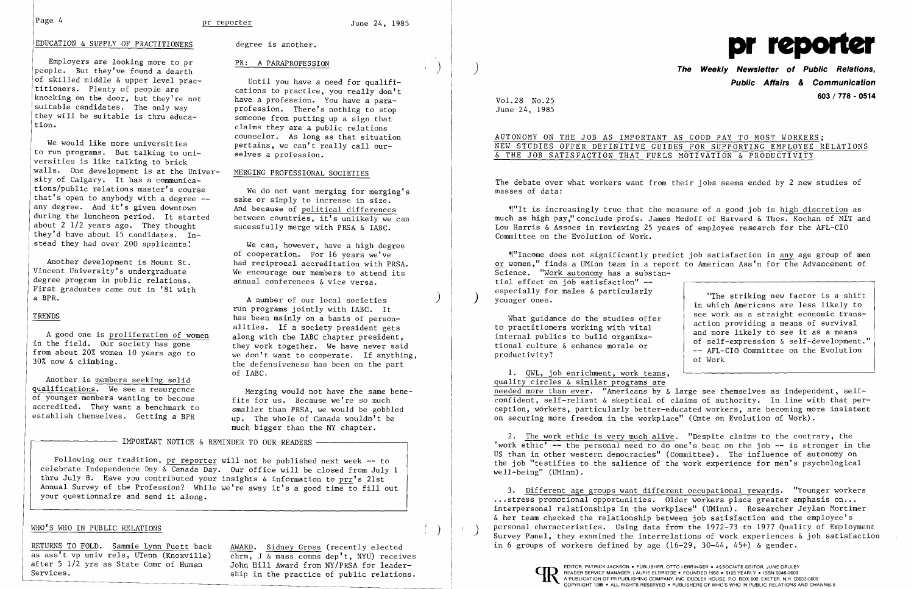## Page 4 **pr reporter** 1985



### EDUCATION & SUPPLY OF PRACTITIONERS degree is another.

Employers are looking more to pr PR: A PARAPROFESSION people. But they've found a dearth of skilled middle & upper level prac titioners. Plenty of people are knocking on the door, but they're not suitable candidates. The only way<br>they will be suitable is thru educathey will be suitable is thru educa-<br>
someone from putting up a sign that

We would like more universities pertains, we can't really call ourto run programs. But talking to uni to run programs. But talking to uni-<br>versities is like talking to brick walls. One development is at the Univer- MERGING PROFESSIONAL SOCIETIES sity of Calgary. It has a communica tions/public relations master's course tions/public relations master's course We do not want merging for merging's<br>that's open to anybody with a degree -- sake or simply to increase in size.<br>any degree. And it's given downtown And because of political differenc any degree. And it's given downtown and because of political differences<br>during the luncheon period. It started between countries, it's unlikely we during the luncheon period. It started between countries, it's unlikely we can<br>about 2 1/2 years ago. They thought sucessfully merge with PRSA & LARC they'd have about 15 candidates. In-<br>stead they had over 200 applicants!

degree program in public relations. First graduates came out in '81 with<br>a BPR.

A good one is proliferation of women<br>in the field. Our society has gone they work together. We have never said<br>from about 20% women 10 years ago to

Another is members seeking solid<br>qualifications. We see a resurgence

 Until you have a need for qualifi cations to practice, you really don't have a profession. You have a para profession. There's nothing to stop tion. claims they are a public relations counselor. As long as that situation

sucessfully merge with PRSA & IABC.

We can, however, have a high degree of cooperation. For 16 years we've Another development is Mount St.<br>Vincent University's undergraduate We encourage our members to attend its We encourage our members to attend its annual conferences  $\&$  vice versa.

A number of our local societies run programs jointly with IABC. It TRENDS has been mainly on a basis of personalities. If a society president gets<br>along with the IABC chapter president. from about 20% women 10 years ago to we don't want to cooperate. If anything,<br>30% now & climbing. the defensiveness has been on the part of IABC.

Merging would not have the same bene-<br>fits for us. Because we're so much of younger members wanting to become<br>accredited. They want a benchmark to smaller than PRSA, we would be gobbled establish themselves. Getting a BPR up. The whole of Canada wouldn't be much bigger than the NY chapter.

- IMPORTANT NOTICE & REMINDER TO OUR READERS -

 $\P''$ It is increasingly true that the measure of a good job is high discretion as much as high pay," conclude profs. James Medoff of Harvard & Thos. Kochan of MIT and Lou Harris & Assocs in reviewing 25 years of employee research for the AFL-CIO Committee on the Evolution of Work.

~lrrIncome does not significantly predict job satisfaction in any age group of men or women," finds a UMinn team in a report to American Ass'n for the Advancement of Science. "Work autonomy has a substantial effect on job satisfaction" especially for males & particularly "The striking new factor is a shift<br>
younger ones.<br>
in which Americans are less likely to<br>
see work as a straight economic trans-

Following our tradition, pr reporter will not be published next week -- to celebrate Independence Day & Canada Day. Our office will be closed from July 1 thru July 8. Have you contributed your insights & information to prr's 21st Annual Survey of the Profession? While we're away it's a good time to fill out your questionnaire and send it along.

,)

)

)

# ) **The Weekly Newsletter of Public Relations, Public Affairs & Communication 603/778 - <sup>0514</sup>**Vol. 28 No.25

June 24, 1985

## AUTONOMY ON THE JOB AS IMPORTANT AS GOOD PAY TO MOST WORKERS; & THE JOB SATISFACTION THAT FUELS MOTIVATION & PRODUCTIVITY

NEW STUDIES OFFER DEFINITIVE GUIDES FOR SUPPORTING EMPLOYEE RELATIONS

What guidance do the studies offer<br>to practitioners working with vital<br>internal publics to build organiza-<br>tional culture & enhance morale or<br>productivity?<br>and more likely to see it as a means<br>of self-expression & self-dev

The debate over what workers want from their jobs seems ended by 2 new studies of masses of data:

1. QWL, job enrichment, work teams, quality circles & similar programs are needed more than ever. "Americans by & large see themselves as independent, selfconfident, self-reliant & skeptical of claims of authority. In line with that perception, workers, particularly better-educated workers, are becoming more insistent on securing more freedom in the workplace" (Cmte on Evolution of Work).

2. The work ethic is very much alive. "Despite claims to the contrary, the 'work ethic' -- the personal need to do one's best on the job -- is stronger in the US than in other western democracies" (Committee). The influence of autonomy on the job "testifies to the salience of the work experience for men's psychological well-being" (UMinn).

3. Different age groups want different occupational rewards. "Younger workers ... stress promotional opportunities. Older workers place greater emphasis on... interpersonal relationships in the workplace" (UMinn). Researcher Jeylan Mortimer & her team checked the relationship between job satisfaction and the employee's personal characteristics. Using data from the 1972-73 to 1977 Quality of Employment<br>Survey Panel, they examined the interrelations of work experiences & job satisfaction in 6 groups of workers defined by age (16-29, 30-44, 45+) & gender.



### WHO'S WHO IN PUBLIC RELATIONS

RETURNS TO FOLD. Sammie Lynn Puett back AWARD. Sidney Gross (recently elected as ass't vp univ rels, UTenn (Knoxville) chrm, J & mass comms dep't. NYU) receive

as ass't vp univ rels, UTenn (Knoxville) chrm, J  $\overline{\alpha}$  mass comns dep't, NYU) receives after 5 1/2 yrs as State Comr of Human John Hill Award from NY/PRSA for leaderafter 5 1/2 yrs as State Comr of Human John Hill Award from NY/PRSA for leader-<br>Services. Ship in the practice of public relations.